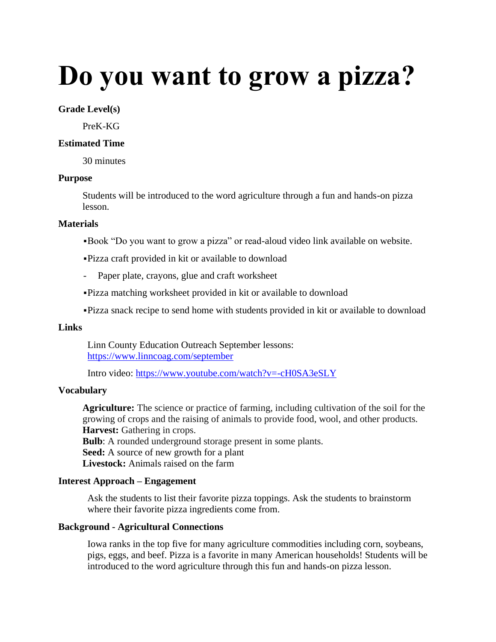# **Do you want to grow a pizza?**

#### **Grade Level(s)**

PreK-KG

#### **Estimated Time**

30 minutes

#### **Purpose**

Students will be introduced to the word agriculture through a fun and hands-on pizza lesson.

#### **Materials**

- ▪Book "Do you want to grow a pizza" or read-aloud video link available on website.
- ▪Pizza craft provided in kit or available to download
- Paper plate, crayons, glue and craft worksheet
- ▪Pizza matching worksheet provided in kit or available to download
- ▪Pizza snack recipe to send home with students provided in kit or available to download

# **Links**

Linn County Education Outreach September lessons: <https://www.linncoag.com/september>

Intro video:<https://www.youtube.com/watch?v=-cH0SA3eSLY>

## **Vocabulary**

**Agriculture:** The science or practice of farming, including cultivation of the soil for the growing of crops and the raising of animals to provide food, wool, and other products. **Harvest:** Gathering in crops. **Bulb**: A rounded underground storage present in some plants. **Seed:** A source of new growth for a plant **Livestock:** Animals raised on the farm

## **Interest Approach – Engagement**

Ask the students to list their favorite pizza toppings. Ask the students to brainstorm where their favorite pizza ingredients come from.

## **Background - Agricultural Connections**

Iowa ranks in the top five for many agriculture commodities including corn, soybeans, pigs, eggs, and beef. Pizza is a favorite in many American households! Students will be introduced to the word agriculture through this fun and hands-on pizza lesson.